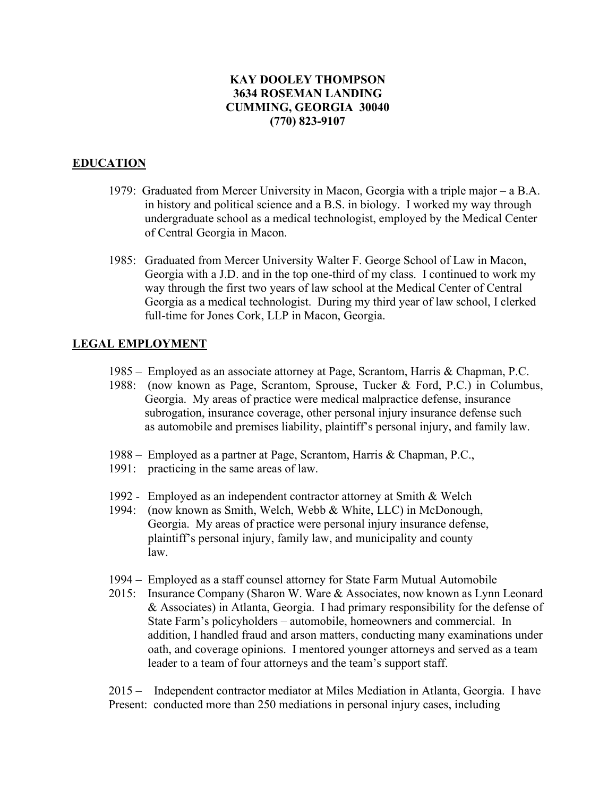## **KAY DOOLEY THOMPSON 3634 ROSEMAN LANDING CUMMING, GEORGIA 30040 (770) 823-9107**

## **EDUCATION**

- 1979: Graduated from Mercer University in Macon, Georgia with a triple major a B.A. in history and political science and a B.S. in biology. I worked my way through undergraduate school as a medical technologist, employed by the Medical Center of Central Georgia in Macon.
- 1985: Graduated from Mercer University Walter F. George School of Law in Macon, Georgia with a J.D. and in the top one-third of my class. I continued to work my way through the first two years of law school at the Medical Center of Central Georgia as a medical technologist. During my third year of law school, I clerked full-time for Jones Cork, LLP in Macon, Georgia.

## **LEGAL EMPLOYMENT**

- 1985 Employed as an associate attorney at Page, Scrantom, Harris & Chapman, P.C.
- 1988: (now known as Page, Scrantom, Sprouse, Tucker & Ford, P.C.) in Columbus, Georgia. My areas of practice were medical malpractice defense, insurance subrogation, insurance coverage, other personal injury insurance defense such as automobile and premises liability, plaintiff's personal injury, and family law.
- 1988 Employed as a partner at Page, Scrantom, Harris & Chapman, P.C.,
- 1991: practicing in the same areas of law.
- 1992 Employed as an independent contractor attorney at Smith & Welch
- 1994: (now known as Smith, Welch, Webb & White, LLC) in McDonough, Georgia. My areas of practice were personal injury insurance defense, plaintiff's personal injury, family law, and municipality and county law.
- 1994 Employed as a staff counsel attorney for State Farm Mutual Automobile
- 2015: Insurance Company (Sharon W. Ware & Associates, now known as Lynn Leonard & Associates) in Atlanta, Georgia. I had primary responsibility for the defense of State Farm's policyholders – automobile, homeowners and commercial. In addition, I handled fraud and arson matters, conducting many examinations under oath, and coverage opinions. I mentored younger attorneys and served as a team leader to a team of four attorneys and the team's support staff.

2015 – Independent contractor mediator at Miles Mediation in Atlanta, Georgia. I have Present: conducted more than 250 mediations in personal injury cases, including